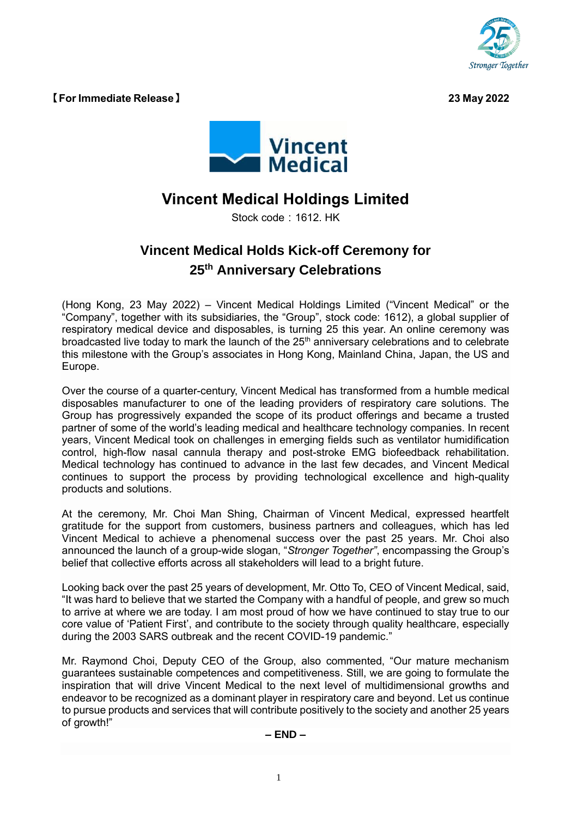

**【For Immediate Release】 23 May 2022**



## **Vincent Medical Holdings Limited**

Stock code: 1612. HK

## **Vincent Medical Holds Kick-off Ceremony for 25th Anniversary Celebrations**

(Hong Kong, 23 May 2022) – Vincent Medical Holdings Limited ("Vincent Medical" or the "Company", together with its subsidiaries, the "Group", stock code: 1612), a global supplier of respiratory medical device and disposables, is turning 25 this year. An online ceremony was broadcasted live today to mark the launch of the  $25<sup>th</sup>$  anniversary celebrations and to celebrate this milestone with the Group's associates in Hong Kong, Mainland China, Japan, the US and Europe.

Over the course of a quarter-century, Vincent Medical has transformed from a humble medical disposables manufacturer to one of the leading providers of respiratory care solutions. The Group has progressively expanded the scope of its product offerings and became a trusted partner of some of the world's leading medical and healthcare technology companies. In recent years, Vincent Medical took on challenges in emerging fields such as ventilator humidification control, high-flow nasal cannula therapy and post-stroke EMG biofeedback rehabilitation. Medical technology has continued to advance in the last few decades, and Vincent Medical continues to support the process by providing technological excellence and high-quality products and solutions.

At the ceremony, Mr. Choi Man Shing, Chairman of Vincent Medical, expressed heartfelt gratitude for the support from customers, business partners and colleagues, which has led Vincent Medical to achieve a phenomenal success over the past 25 years. Mr. Choi also announced the launch of a group-wide slogan, "*Stronger Together"*, encompassing the Group's belief that collective efforts across all stakeholders will lead to a bright future.

Looking back over the past 25 years of development, Mr. Otto To, CEO of Vincent Medical, said, "It was hard to believe that we started the Company with a handful of people, and grew so much to arrive at where we are today. I am most proud of how we have continued to stay true to our core value of 'Patient First', and contribute to the society through quality healthcare, especially during the 2003 SARS outbreak and the recent COVID-19 pandemic."

Mr. Raymond Choi, Deputy CEO of the Group, also commented, "Our mature mechanism guarantees sustainable competences and competitiveness. Still, we are going to formulate the inspiration that will drive Vincent Medical to the next level of multidimensional growths and endeavor to be recognized as a dominant player in respiratory care and beyond. Let us continue to pursue products and services that will contribute positively to the society and another 25 years of growth!"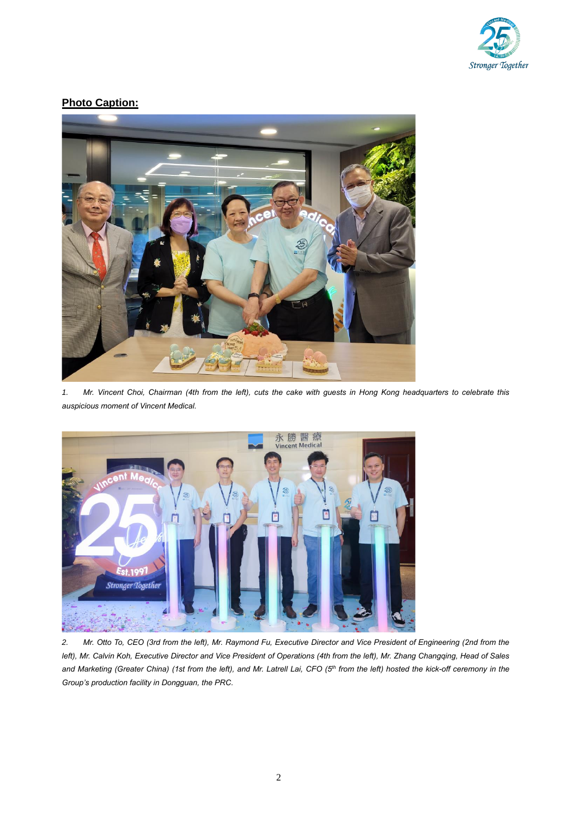

## **Photo Caption:**



*1. Mr. Vincent Choi, Chairman (4th [from the left\), cuts the cake with guests](https://www.galaxyentertainment.com/uploads/thumb/uploads/album/211/676_if9cq.1404802527-4adc52ae10fed1cc6621715dddc0bd1a.jpg) in Hong Kong headquarters to celebrate this [auspicious moment of Vincent Medical.](https://www.galaxyentertainment.com/uploads/thumb/uploads/album/211/676_if9cq.1404802527-4adc52ae10fed1cc6621715dddc0bd1a.jpg)*



*2. Mr. Otto To, CEO (3rd from the left), Mr. Raymond Fu, Executive Director and Vice President of Engineering (2nd from the left), Mr. Calvin Koh, Executive Director and Vice President of Operations (4th from the left), Mr. Zhang Changqing, Head of Sales and Marketing (Greater China) (1st from the left), and Mr. Latrell Lai, CFO (5th from the left) hosted the kick-off ceremony in the Group's production facility in Dongguan, the PRC.*